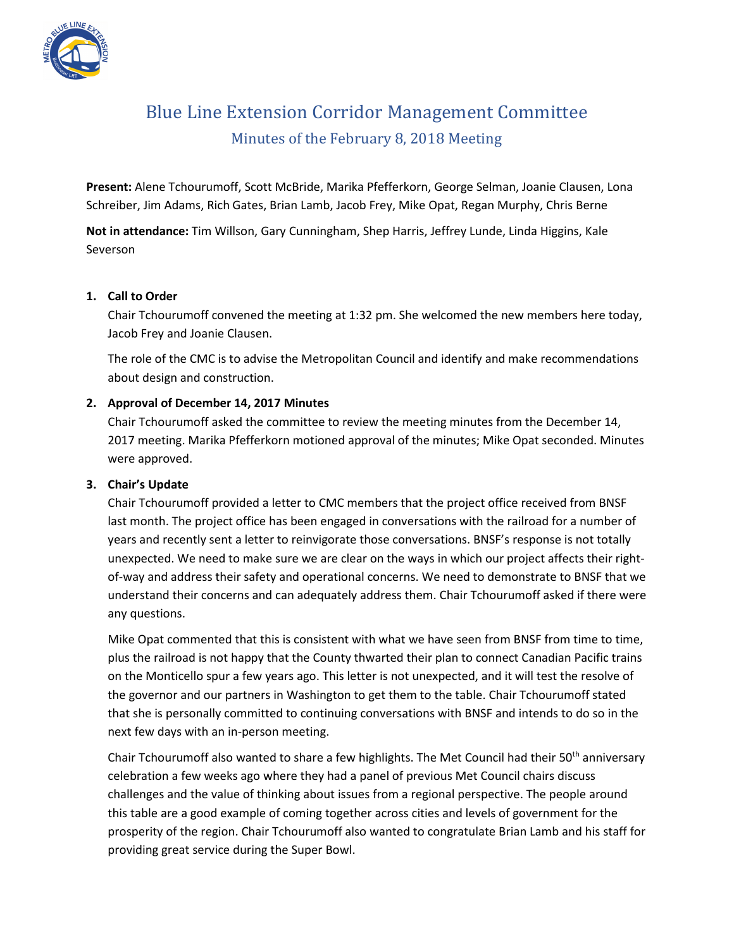

# Blue Line Extension Corridor Management Committee Minutes of the February 8, 2018 Meeting

**Present:** Alene Tchourumoff, Scott McBride, Marika Pfefferkorn, George Selman, Joanie Clausen, Lona Schreiber, Jim Adams, Rich Gates, Brian Lamb, Jacob Frey, Mike Opat, Regan Murphy, Chris Berne

**Not in attendance:** Tim Willson, Gary Cunningham, Shep Harris, Jeffrey Lunde, Linda Higgins, Kale Severson

## **1. Call to Order**

Chair Tchourumoff convened the meeting at 1:32 pm. She welcomed the new members here today, Jacob Frey and Joanie Clausen.

The role of the CMC is to advise the Metropolitan Council and identify and make recommendations about design and construction.

# **2. Approval of December 14, 2017 Minutes**

Chair Tchourumoff asked the committee to review the meeting minutes from the December 14, 2017 meeting. Marika Pfefferkorn motioned approval of the minutes; Mike Opat seconded. Minutes were approved.

#### **3. Chair's Update**

Chair Tchourumoff provided a letter to CMC members that the project office received from BNSF last month. The project office has been engaged in conversations with the railroad for a number of years and recently sent a letter to reinvigorate those conversations. BNSF's response is not totally unexpected. We need to make sure we are clear on the ways in which our project affects their rightof-way and address their safety and operational concerns. We need to demonstrate to BNSF that we understand their concerns and can adequately address them. Chair Tchourumoff asked if there were any questions.

Mike Opat commented that this is consistent with what we have seen from BNSF from time to time, plus the railroad is not happy that the County thwarted their plan to connect Canadian Pacific trains on the Monticello spur a few years ago. This letter is not unexpected, and it will test the resolve of the governor and our partners in Washington to get them to the table. Chair Tchourumoff stated that she is personally committed to continuing conversations with BNSF and intends to do so in the next few days with an in-person meeting.

Chair Tchourumoff also wanted to share a few highlights. The Met Council had their 50<sup>th</sup> anniversary celebration a few weeks ago where they had a panel of previous Met Council chairs discuss challenges and the value of thinking about issues from a regional perspective. The people around this table are a good example of coming together across cities and levels of government for the prosperity of the region. Chair Tchourumoff also wanted to congratulate Brian Lamb and his staff for providing great service during the Super Bowl.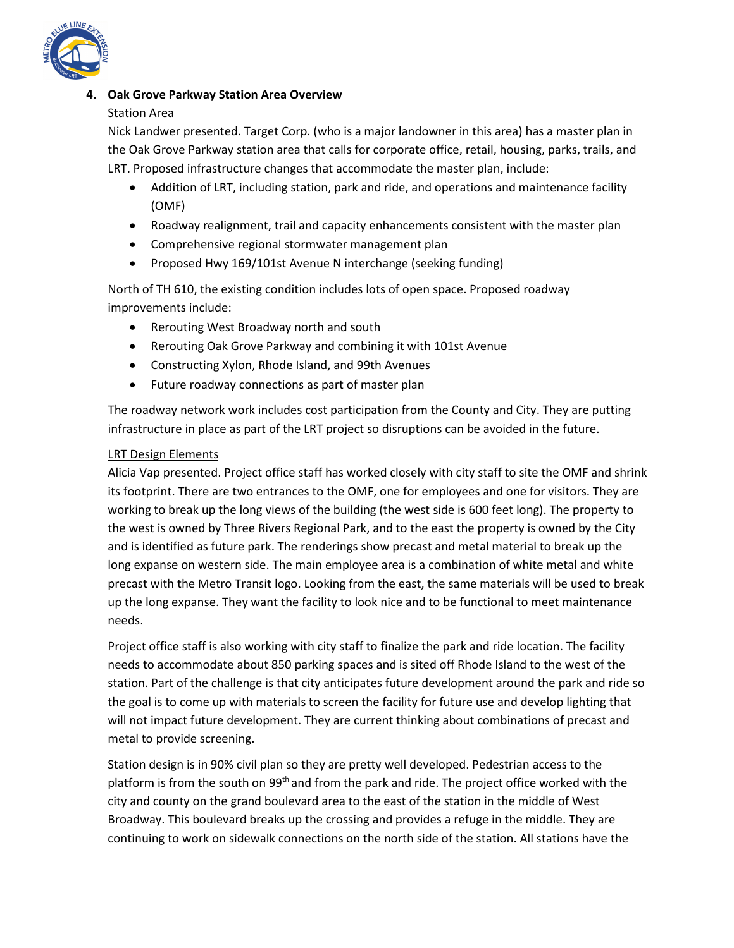

## **4. Oak Grove Parkway Station Area Overview**

## Station Area

Nick Landwer presented. Target Corp. (who is a major landowner in this area) has a master plan in the Oak Grove Parkway station area that calls for corporate office, retail, housing, parks, trails, and LRT. Proposed infrastructure changes that accommodate the master plan, include:

- Addition of LRT, including station, park and ride, and operations and maintenance facility (OMF)
- Roadway realignment, trail and capacity enhancements consistent with the master plan
- Comprehensive regional stormwater management plan
- Proposed Hwy 169/101st Avenue N interchange (seeking funding)

North of TH 610, the existing condition includes lots of open space. Proposed roadway improvements include:

- Rerouting West Broadway north and south
- Rerouting Oak Grove Parkway and combining it with 101st Avenue
- Constructing Xylon, Rhode Island, and 99th Avenues
- Future roadway connections as part of master plan

The roadway network work includes cost participation from the County and City. They are putting infrastructure in place as part of the LRT project so disruptions can be avoided in the future.

## LRT Design Elements

Alicia Vap presented. Project office staff has worked closely with city staff to site the OMF and shrink its footprint. There are two entrances to the OMF, one for employees and one for visitors. They are working to break up the long views of the building (the west side is 600 feet long). The property to the west is owned by Three Rivers Regional Park, and to the east the property is owned by the City and is identified as future park. The renderings show precast and metal material to break up the long expanse on western side. The main employee area is a combination of white metal and white precast with the Metro Transit logo. Looking from the east, the same materials will be used to break up the long expanse. They want the facility to look nice and to be functional to meet maintenance needs.

Project office staff is also working with city staff to finalize the park and ride location. The facility needs to accommodate about 850 parking spaces and is sited off Rhode Island to the west of the station. Part of the challenge is that city anticipates future development around the park and ride so the goal is to come up with materials to screen the facility for future use and develop lighting that will not impact future development. They are current thinking about combinations of precast and metal to provide screening.

Station design is in 90% civil plan so they are pretty well developed. Pedestrian access to the platform is from the south on 99<sup>th</sup> and from the park and ride. The project office worked with the city and county on the grand boulevard area to the east of the station in the middle of West Broadway. This boulevard breaks up the crossing and provides a refuge in the middle. They are continuing to work on sidewalk connections on the north side of the station. All stations have the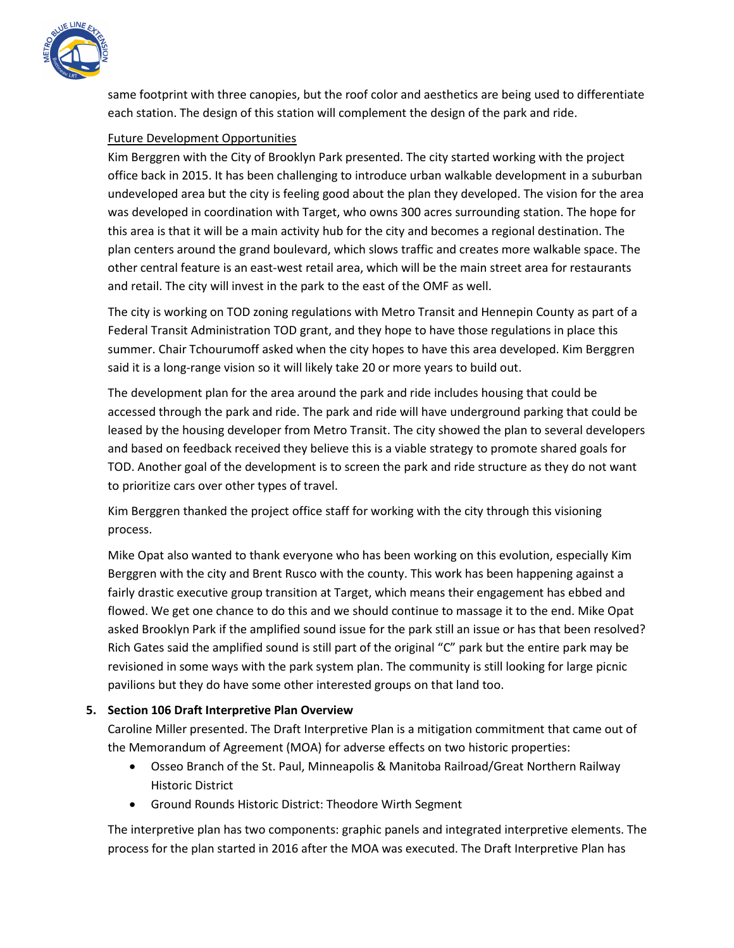

same footprint with three canopies, but the roof color and aesthetics are being used to differentiate each station. The design of this station will complement the design of the park and ride.

## Future Development Opportunities

Kim Berggren with the City of Brooklyn Park presented. The city started working with the project office back in 2015. It has been challenging to introduce urban walkable development in a suburban undeveloped area but the city is feeling good about the plan they developed. The vision for the area was developed in coordination with Target, who owns 300 acres surrounding station. The hope for this area is that it will be a main activity hub for the city and becomes a regional destination. The plan centers around the grand boulevard, which slows traffic and creates more walkable space. The other central feature is an east-west retail area, which will be the main street area for restaurants and retail. The city will invest in the park to the east of the OMF as well.

The city is working on TOD zoning regulations with Metro Transit and Hennepin County as part of a Federal Transit Administration TOD grant, and they hope to have those regulations in place this summer. Chair Tchourumoff asked when the city hopes to have this area developed. Kim Berggren said it is a long-range vision so it will likely take 20 or more years to build out.

The development plan for the area around the park and ride includes housing that could be accessed through the park and ride. The park and ride will have underground parking that could be leased by the housing developer from Metro Transit. The city showed the plan to several developers and based on feedback received they believe this is a viable strategy to promote shared goals for TOD. Another goal of the development is to screen the park and ride structure as they do not want to prioritize cars over other types of travel.

Kim Berggren thanked the project office staff for working with the city through this visioning process.

Mike Opat also wanted to thank everyone who has been working on this evolution, especially Kim Berggren with the city and Brent Rusco with the county. This work has been happening against a fairly drastic executive group transition at Target, which means their engagement has ebbed and flowed. We get one chance to do this and we should continue to massage it to the end. Mike Opat asked Brooklyn Park if the amplified sound issue for the park still an issue or has that been resolved? Rich Gates said the amplified sound is still part of the original "C" park but the entire park may be revisioned in some ways with the park system plan. The community is still looking for large picnic pavilions but they do have some other interested groups on that land too.

# **5. Section 106 Draft Interpretive Plan Overview**

Caroline Miller presented. The Draft Interpretive Plan is a mitigation commitment that came out of the Memorandum of Agreement (MOA) for adverse effects on two historic properties:

- Osseo Branch of the St. Paul, Minneapolis & Manitoba Railroad/Great Northern Railway Historic District
- Ground Rounds Historic District: Theodore Wirth Segment

The interpretive plan has two components: graphic panels and integrated interpretive elements. The process for the plan started in 2016 after the MOA was executed. The Draft Interpretive Plan has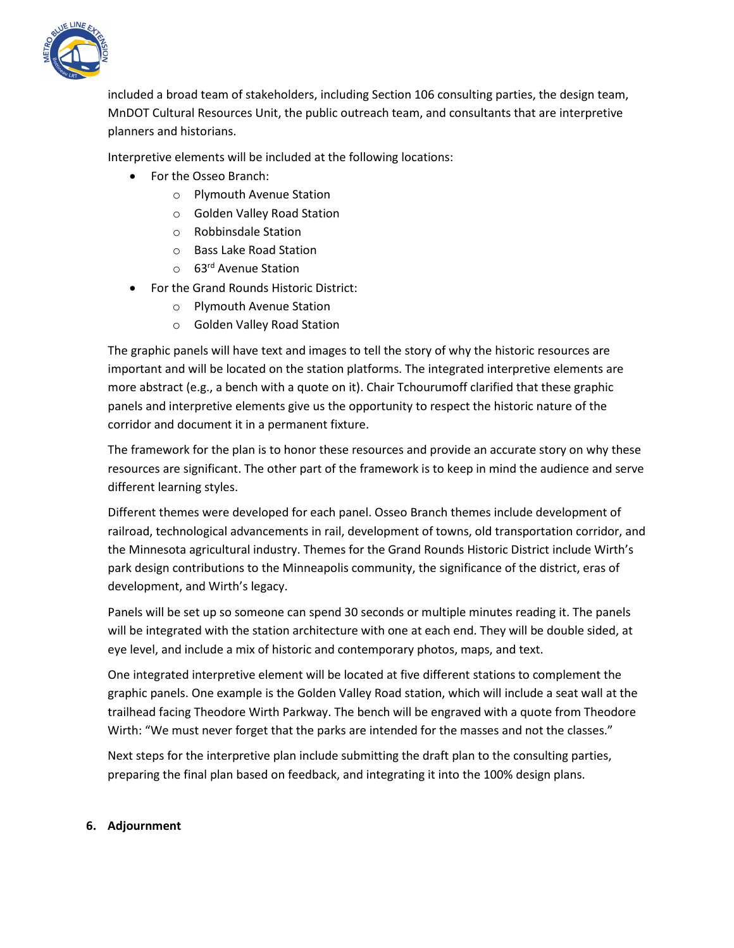

included a broad team of stakeholders, including Section 106 consulting parties, the design team, MnDOT Cultural Resources Unit, the public outreach team, and consultants that are interpretive planners and historians.

Interpretive elements will be included at the following locations:

- For the Osseo Branch:
	- o Plymouth Avenue Station
	- o Golden Valley Road Station
	- o Robbinsdale Station
	- o Bass Lake Road Station
	- o 63<sup>rd</sup> Avenue Station
- For the Grand Rounds Historic District:
	- o Plymouth Avenue Station
	- o Golden Valley Road Station

The graphic panels will have text and images to tell the story of why the historic resources are important and will be located on the station platforms. The integrated interpretive elements are more abstract (e.g., a bench with a quote on it). Chair Tchourumoff clarified that these graphic panels and interpretive elements give us the opportunity to respect the historic nature of the corridor and document it in a permanent fixture.

The framework for the plan is to honor these resources and provide an accurate story on why these resources are significant. The other part of the framework is to keep in mind the audience and serve different learning styles.

Different themes were developed for each panel. Osseo Branch themes include development of railroad, technological advancements in rail, development of towns, old transportation corridor, and the Minnesota agricultural industry. Themes for the Grand Rounds Historic District include Wirth's park design contributions to the Minneapolis community, the significance of the district, eras of development, and Wirth's legacy.

Panels will be set up so someone can spend 30 seconds or multiple minutes reading it. The panels will be integrated with the station architecture with one at each end. They will be double sided, at eye level, and include a mix of historic and contemporary photos, maps, and text.

One integrated interpretive element will be located at five different stations to complement the graphic panels. One example is the Golden Valley Road station, which will include a seat wall at the trailhead facing Theodore Wirth Parkway. The bench will be engraved with a quote from Theodore Wirth: "We must never forget that the parks are intended for the masses and not the classes."

Next steps for the interpretive plan include submitting the draft plan to the consulting parties, preparing the final plan based on feedback, and integrating it into the 100% design plans.

#### **6. Adjournment**